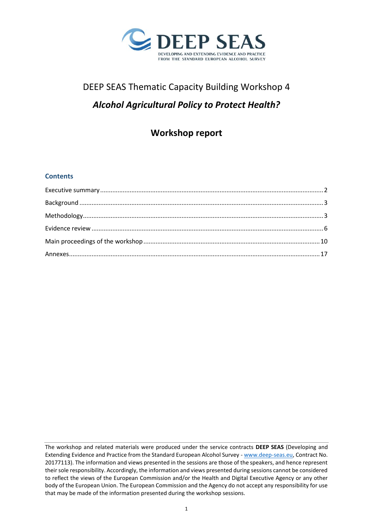

# DEEP SEAS Thematic Capacity Building Workshop 4 *Alcohol Agricultural Policy to Protect Health?*

## **Workshop report**

## **Contents**

The workshop and related materials were produced under the service contracts **DEEP SEAS** (Developing and Extending Evidence and Practice from the Standard European Alcohol Survey - [www.deep-seas.eu,](http://www.deep-seas.eu/) Contract No. 20177113). The information and views presented in the sessions are those of the speakers, and hence represent their sole responsibility. Accordingly, the information and views presented during sessions cannot be considered to reflect the views of the European Commission and/or the Health and Digital Executive Agency or any other body of the European Union. The European Commission and the Agency do not accept any responsibility for use that may be made of the information presented during the workshop sessions.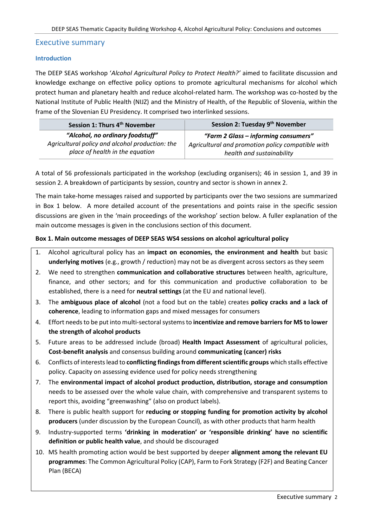### <span id="page-1-0"></span>Executive summary

#### **Introduction**

The DEEP SEAS workshop '*Alcohol Agricultural Policy to Protect Health?'* aimed to facilitate discussion and knowledge exchange on effective policy options to promote agricultural mechanisms for alcohol which protect human and planetary health and reduce alcohol-related harm. The workshop was co-hosted by the National Institute of Public Health (NIJZ) and the Ministry of Health, of the Republic of Slovenia, within the frame of the Slovenian EU Presidency. It comprised two interlinked sessions.

| Session 1: Thurs 4 <sup>th</sup> November       | Session 2: Tuesday 9 <sup>th</sup> November       |
|-------------------------------------------------|---------------------------------------------------|
| "Alcohol, no ordinary foodstuff"                | "Farm 2 Glass - informing consumers"              |
| Agricultural policy and alcohol production: the | Agricultural and promotion policy compatible with |
| place of health in the equation                 | health and sustainability                         |

A total of 56 professionals participated in the workshop (excluding organisers); 46 in session 1, and 39 in session 2. A breakdown of participants by session, country and sector is shown in annex 2.

The main take-home messages raised and supported by participants over the two sessions are summarized in Box 1 below. A more detailed account of the presentations and points raise in the specific session discussions are given in the 'main proceedings of the workshop' section below. A fuller explanation of the main outcome messages is given in the conclusions section of this document.

#### **Box 1. Main outcome messages of DEEP SEAS WS4 sessions on alcohol agricultural policy**

- 1. Alcohol agricultural policy has an **impact on economies, the environment and health** but basic **underlying motives** (e.g., growth / reduction) may not be as divergent across sectors as they seem
- 2. We need to strengthen **communication and collaborative structures** between health, agriculture, finance, and other sectors; and for this communication and productive collaboration to be established, there is a need for **neutral settings** (at the EU and national level).
- 3. The **ambiguous place of alcohol** (not a food but on the table) creates **policy cracks and a lack of coherence**, leading to information gaps and mixed messages for consumers
- 4. Effort needs to be put into multi-sectoral systems to **incentivize and remove barriers for MS to lower the strength of alcohol products**
- 5. Future areas to be addressed include (broad) **Health Impact Assessment** of agricultural policies, **Cost-benefit analysis** and consensus building around **communicating (cancer) risks**
- 6. Conflicts of interests lead to **conflicting findings from different scientific groups** which stalls effective policy. Capacity on assessing evidence used for policy needs strengthening
- 7. The **environmental impact of alcohol product production, distribution, storage and consumption** needs to be assessed over the whole value chain, with comprehensive and transparent systems to report this, avoiding "greenwashing" (also on product labels).
- 8. There is public health support for **reducing or stopping funding for promotion activity by alcohol producers** (under discussion by the European Council), as with other products that harm health
- 9. Industry-supported terms **'drinking in moderation' or 'responsible drinking' have no scientific definition or public health value**, and should be discouraged
- 10. MS health promoting action would be best supported by deeper **alignment among the relevant EU programmes**: The Common Agricultural Policy (CAP), Farm to Fork Strategy (F2F) and Beating Cancer Plan (BECA)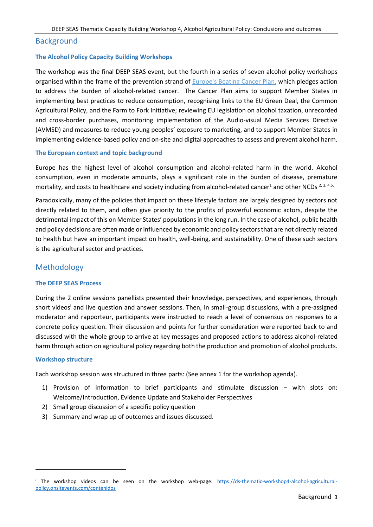#### <span id="page-2-0"></span>**Background**

#### **The Alcohol Policy Capacity Building Workshops**

The workshop was the final DEEP SEAS event, but the fourth in a series of seven alcohol policy workshops organised within the frame of the prevention strand of [Europe's Beating Cancer Plan,](https://ec.europa.eu/info/strategy/priorities-2019-2024/promoting-our-european-way-life/european-health-union/cancer-plan-europe_en) which pledges action to address the burden of alcohol-related cancer. The Cancer Plan aims to support Member States in implementing best practices to reduce consumption, recognising links to the EU Green Deal, the Common Agricultural Policy, and the Farm to Fork Initiative; reviewing EU legislation on alcohol taxation, unrecorded and cross-border purchases, monitoring implementation of the Audio-visual Media Services Directive (AVMSD) and measures to reduce young peoples' exposure to marketing, and to support Member States in implementing evidence-based policy and on-site and digital approaches to assess and prevent alcohol harm.

#### **The European context and topic background**

Europe has the highest level of alcohol consumption and alcohol-related harm in the world. Alcohol consumption, even in moderate amounts, plays a significant role in the burden of disease, premature mortality, and costs to healthcare and society including from alcohol-related cancer<sup>1</sup> and other NCDs  $^{2,3,4,5.}$ 

Paradoxically, many of the policies that impact on these lifestyle factors are largely designed by sectors not directly related to them, and often give priority to the profits of powerful economic actors, despite the detrimental impact of this on Member States' populations in the long run. In the case of alcohol, public health and policy decisions are often made or influenced by economic and policy sectors that are not directly related to health but have an important impact on health, well-being, and sustainability. One of these such sectors is the agricultural sector and practices.

#### <span id="page-2-1"></span>Methodology

#### **The DEEP SEAS Process**

During the 2 online sessions panellists presented their knowledge, perspectives, and experiences, through short videos<sup>i</sup> and live question and answer sessions. Then, in small-group discussions, with a pre-assigned moderator and rapporteur, participants were instructed to reach a level of consensus on responses to a concrete policy question. Their discussion and points for further consideration were reported back to and discussed with the whole group to arrive at key messages and proposed actions to address alcohol-related harm through action on agricultural policy regarding both the production and promotion of alcohol products.

#### **Workshop structure**

Each workshop session was structured in three parts: (See annex 1 for the workshop agenda).

- 1) Provision of information to brief participants and stimulate discussion with slots on: Welcome/Introduction, Evidence Update and Stakeholder Perspectives
- 2) Small group discussion of a specific policy question
- 3) Summary and wrap up of outcomes and issues discussed.

<sup>i</sup> The workshop videos can be seen on the workshop web-page: [https://ds-thematic-workshop4-alcohol-agricultural](https://ds-thematic-workshop4-alcohol-agricultural-policy.onsitevents.com/contenidos)[policy.onsitevents.com/contenidos](https://ds-thematic-workshop4-alcohol-agricultural-policy.onsitevents.com/contenidos)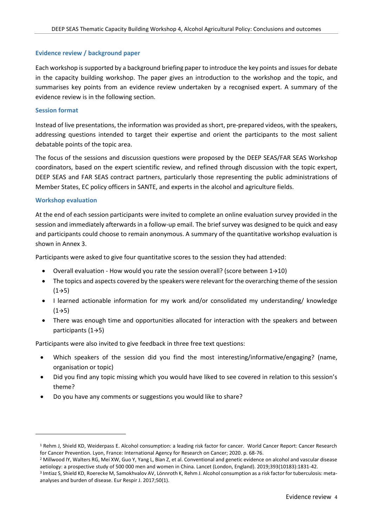#### **Evidence review / background paper**

Each workshop is supported by a background briefing paper to introduce the key points and issues for debate in the capacity building workshop. The paper gives an introduction to the workshop and the topic, and summarises key points from an evidence review undertaken by a recognised expert. A summary of the evidence review is in the following section.

#### **Session format**

Instead of live presentations, the information was provided as short, pre-prepared videos, with the speakers, addressing questions intended to target their expertise and orient the participants to the most salient debatable points of the topic area.

The focus of the sessions and discussion questions were proposed by the DEEP SEAS/FAR SEAS Workshop coordinators, based on the expert scientific review, and refined through discussion with the topic expert, DEEP SEAS and FAR SEAS contract partners, particularly those representing the public administrations of Member States, EC policy officers in SANTE, and experts in the alcohol and agriculture fields.

#### **Workshop evaluation**

At the end of each session participants were invited to complete an online evaluation survey provided in the session and immediately afterwards in a follow-up email. The brief survey was designed to be quick and easy and participants could choose to remain anonymous. A summary of the quantitative workshop evaluation is shown in Annex 3.

Participants were asked to give four quantitative scores to the session they had attended:

- Overall evaluation How would you rate the session overall? (score between 1→10)
- The topics and aspects covered by the speakers were relevant for the overarching theme of the session  $(1 \rightarrow 5)$
- I learned actionable information for my work and/or consolidated my understanding/ knowledge  $(1 \rightarrow 5)$
- There was enough time and opportunities allocated for interaction with the speakers and between participants (1→5)

Participants were also invited to give feedback in three free text questions:

- Which speakers of the session did you find the most interesting/informative/engaging? (name, organisation or topic)
- Did you find any topic missing which you would have liked to see covered in relation to this session's theme?
- Do you have any comments or suggestions you would like to share?

<sup>&</sup>lt;sup>1</sup> Rehm J, Shield KD, Weiderpass E. Alcohol consumption: a leading risk factor for cancer. World Cancer Report: Cancer Research for Cancer Prevention. Lyon, France: International Agency for Research on Cancer; 2020. p. 68-76.

<sup>&</sup>lt;sup>2</sup> Millwood IY, Walters RG, Mei XW, Guo Y, Yang L, Bian Z, et al. Conventional and genetic evidence on alcohol and vascular disease aetiology: a prospective study of 500 000 men and women in China. Lancet (London, England). 2019;393(10183):1831-42.

<sup>&</sup>lt;sup>3</sup> Imtiaz S, Shield KD, Roerecke M, Samokhvalov AV, Lönnroth K, Rehm J. Alcohol consumption as a risk factor for tuberculosis: metaanalyses and burden of disease. Eur Respir J. 2017;50(1).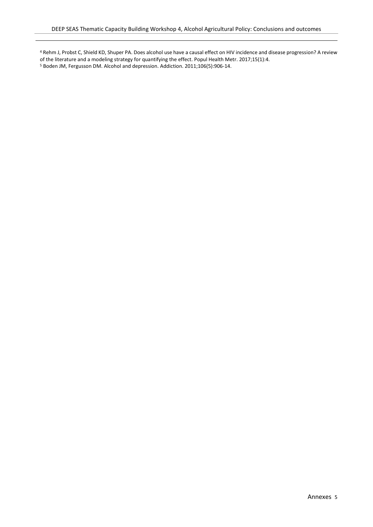<sup>4</sup> Rehm J, Probst C, Shield KD, Shuper PA. Does alcohol use have a causal effect on HIV incidence and disease progression? A review of the literature and a modeling strategy for quantifying the effect. Popul Health Metr. 2017;15(1):4. <sup>5</sup> Boden JM, Fergusson DM. Alcohol and depression. Addiction. 2011;106(5):906-14.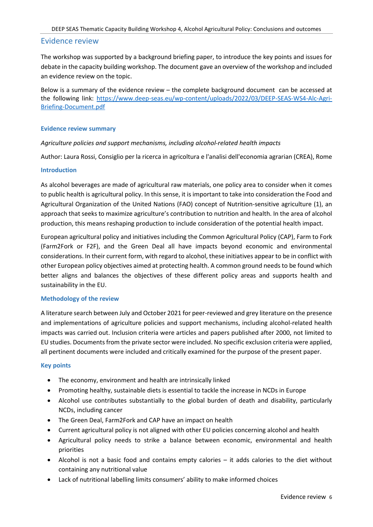#### <span id="page-5-0"></span>Evidence review

The workshop was supported by a background briefing paper, to introduce the key points and issues for debate in the capacity building workshop. The document gave an overview of the workshop and included an evidence review on the topic.

Below is a summary of the evidence review – the complete background document can be accessed at the following link: [https://www.deep-seas.eu/wp-content/uploads/2022/03/DEEP-SEAS-WS4-Alc-Agri-](https://webmail.clinic.cat/owa/redir.aspx?C=a-atbsmZ-KuFf0VG57nS2m6u1RbauROoEt_4AZIgsPtYa0XXsAHaCA..&URL=https%3a%2f%2feu-central-1.protection.sophos.com%3fd%3ddeep-seas.eu%26u%3daHR0cHM6Ly93d3cuZGVlcC1zZWFzLmV1L3dwLWNvbnRlbnQvdXBsb2Fkcy8yMDIyLzAzL0RFRVAtU0VBUy1XUzQtQWxjLUFncmktQnJpZWZpbmctRG9jdW1lbnQucGRm%26i%3dNWZkYjRiODc3M2ZiN2EwZGZmZjA2NzE0%26t%3dK3RMdHZ2Ymd2dER5d0gzdVVzd05YZnZXY2RlUjlWR1JCWTlaY294ZElBbz0%3d%26h%3d7dae759647134bb28b66cd99a9b53f1a)[Briefing-Document.pdf](https://webmail.clinic.cat/owa/redir.aspx?C=a-atbsmZ-KuFf0VG57nS2m6u1RbauROoEt_4AZIgsPtYa0XXsAHaCA..&URL=https%3a%2f%2feu-central-1.protection.sophos.com%3fd%3ddeep-seas.eu%26u%3daHR0cHM6Ly93d3cuZGVlcC1zZWFzLmV1L3dwLWNvbnRlbnQvdXBsb2Fkcy8yMDIyLzAzL0RFRVAtU0VBUy1XUzQtQWxjLUFncmktQnJpZWZpbmctRG9jdW1lbnQucGRm%26i%3dNWZkYjRiODc3M2ZiN2EwZGZmZjA2NzE0%26t%3dK3RMdHZ2Ymd2dER5d0gzdVVzd05YZnZXY2RlUjlWR1JCWTlaY294ZElBbz0%3d%26h%3d7dae759647134bb28b66cd99a9b53f1a)

#### **Evidence review summary**

*Agriculture policies and support mechanisms, including alcohol-related health impacts*

Author: Laura Rossi, Consiglio per la ricerca in agricoltura e l'analisi dell'economia agrarian (CREA), Rome

#### **Introduction**

As alcohol beverages are made of agricultural raw materials, one policy area to consider when it comes to public health is agricultural policy. In this sense, it is important to take into consideration the Food and Agricultural Organization of the United Nations (FAO) concept of Nutrition-sensitive agriculture (1), an approach that seeks to maximize agriculture's contribution to nutrition and health. In the area of alcohol production, this means reshaping production to include consideration of the potential health impact.

European agricultural policy and initiatives including the Common Agricultural Policy (CAP), Farm to Fork (Farm2Fork or F2F), and the Green Deal all have impacts beyond economic and environmental considerations. In their current form, with regard to alcohol, these initiatives appear to be in conflict with other European policy objectives aimed at protecting health. A common ground needs to be found which better aligns and balances the objectives of these different policy areas and supports health and sustainability in the EU.

#### **Methodology of the review**

A literature search between July and October 2021 for peer-reviewed and grey literature on the presence and implementations of agriculture policies and support mechanisms, including alcohol-related health impacts was carried out. Inclusion criteria were articles and papers published after 2000, not limited to EU studies. Documents from the private sector were included. No specific exclusion criteria were applied, all pertinent documents were included and critically examined for the purpose of the present paper.

#### **Key points**

- The economy, environment and health are intrinsically linked
- Promoting healthy, sustainable diets is essential to tackle the increase in NCDs in Europe
- Alcohol use contributes substantially to the global burden of death and disability, particularly NCDs, including cancer
- The Green Deal, Farm2Fork and CAP have an impact on health
- Current agricultural policy is not aligned with other EU policies concerning alcohol and health
- Agricultural policy needs to strike a balance between economic, environmental and health priorities
- Alcohol is not a basic food and contains empty calories it adds calories to the diet without containing any nutritional value
- Lack of nutritional labelling limits consumers' ability to make informed choices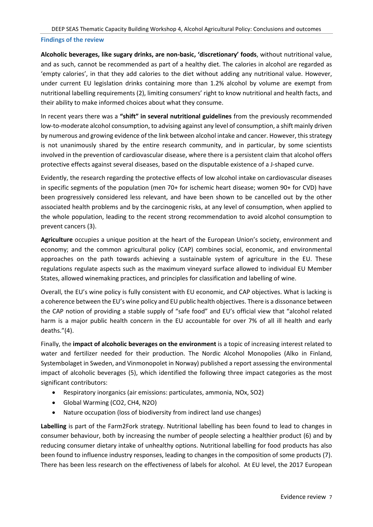#### **Findings of the review**

**Alcoholic beverages, like sugary drinks, are non-basic, 'discretionary' foods**, without nutritional value, and as such, cannot be recommended as part of a healthy diet. The calories in alcohol are regarded as 'empty calories', in that they add calories to the diet without adding any nutritional value. However, under current EU legislation drinks containing more than 1.2% alcohol by volume are exempt from nutritional labelling requirements (2), limiting consumers' right to know nutritional and health facts, and their ability to make informed choices about what they consume.

In recent years there was a **"shift" in several nutritional guidelines** from the previously recommended low-to-moderate alcohol consumption, to advising against any level of consumption, a shift mainly driven by numerous and growing evidence of the link between alcohol intake and cancer. However, this strategy is not unanimously shared by the entire research community, and in particular, by some scientists involved in the prevention of cardiovascular disease, where there is a persistent claim that alcohol offers protective effects against several diseases, based on the disputable existence of a J-shaped curve.

Evidently, the research regarding the protective effects of low alcohol intake on cardiovascular diseases in specific segments of the population (men 70+ for ischemic heart disease; women 90+ for CVD) have been progressively considered less relevant, and have been shown to be cancelled out by the other associated health problems and by the carcinogenic risks, at any level of consumption, when applied to the whole population, leading to the recent strong recommendation to avoid alcohol consumption to prevent cancers (3).

**Agriculture** occupies a unique position at the heart of the European Union's society, environment and economy; and the common agricultural policy (CAP) combines social, economic, and environmental approaches on the path towards achieving a sustainable system of agriculture in the EU. These regulations regulate aspects such as the maximum vineyard surface allowed to individual EU Member States, allowed winemaking practices, and principles for classification and labelling of wine.

Overall, the EU's wine policy is fully consistent with EU economic, and CAP objectives. What is lacking is a coherence between the EU's wine policy and EU public health objectives. There is a dissonance between the CAP notion of providing a stable supply of "safe food" and EU's official view that "alcohol related harm is a major public health concern in the EU accountable for over 7% of all ill health and early deaths."(4).

Finally, the **impact of alcoholic beverages on the environment** is a topic of increasing interest related to water and fertilizer needed for their production. The Nordic Alcohol Monopolies (Alko in Finland, Systembolaget in Sweden, and Vinmonopolet in Norway) published a report assessing the environmental impact of alcoholic beverages (5), which identified the following three impact categories as the most significant contributors:

- Respiratory inorganics (air emissions: particulates, ammonia, NOx, SO2)
- Global Warming (CO2, CH4, N2O)
- Nature occupation (loss of biodiversity from indirect land use changes)

**Labelling** is part of the Farm2Fork strategy. Nutritional labelling has been found to lead to changes in consumer behaviour, both by increasing the number of people selecting a healthier product (6) and by reducing consumer dietary intake of unhealthy options. Nutritional labelling for food products has also been found to influence industry responses, leading to changes in the composition of some products (7). There has been less research on the effectiveness of labels for alcohol. At EU level, the 2017 European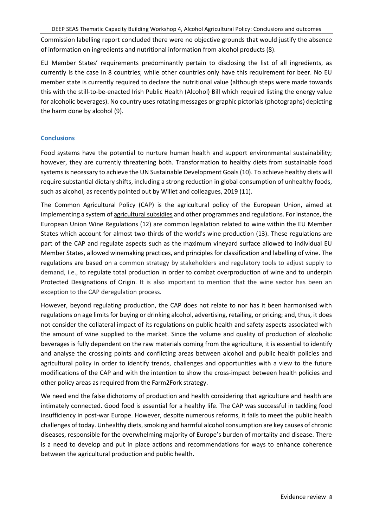DEEP SEAS Thematic Capacity Building Workshop 4, Alcohol Agricultural Policy: Conclusions and outcomes

Commission labelling report concluded there were no objective grounds that would justify the absence of information on ingredients and nutritional information from alcohol products (8).

EU Member States' requirements predominantly pertain to disclosing the list of all ingredients, as currently is the case in 8 countries; while other countries only have this requirement for beer. No EU member state is currently required to declare the nutritional value (although steps were made towards this with the still-to-be-enacted Irish Public Health (Alcohol) Bill which required listing the energy value for alcoholic beverages). No country uses rotating messages or graphic pictorials (photographs) depicting the harm done by alcohol (9).

## **Conclusions**

Food systems have the potential to nurture human health and support environmental sustainability; however, they are currently threatening both. Transformation to healthy diets from sustainable food systems is necessary to achieve the UN Sustainable Development Goals (10). To achieve healthy diets will require substantial dietary shifts, including a strong reduction in global consumption of unhealthy foods, such as alcohol, as recently pointed out by Willet and colleagues, 2019 (11).

The Common Agricultural Policy (CAP) is the agricultural policy of the European Union, aimed at implementing a system of [agricultural subsidies](https://en.wikipedia.org/wiki/Agricultural_subsidies) and other programmes and regulations. For instance, the European Union Wine Regulations (12) are common legislation related to wine within the EU Member States which account for almost two-thirds of the world's wine production (13). These regulations are part of the CAP and regulate aspects such as the maximum vineyard surface allowed to individual EU Member States, allowed winemaking practices, and principles for classification and labelling of wine. The regulations are based on a common strategy by stakeholders and regulatory tools to adjust supply to demand, i.e., to regulate total production in order to combat overproduction of wine and to underpin Protected Designations of Origin. It is also important to mention that the wine sector has been an exception to the CAP deregulation process.

However, beyond regulating production, the CAP does not relate to nor has it been harmonised with regulations on age limits for buying or drinking alcohol, advertising, retailing, or pricing; and, thus, it does not consider the collateral impact of its regulations on public health and safety aspects associated with the amount of wine supplied to the market. Since the volume and quality of production of alcoholic beverages is fully dependent on the raw materials coming from the agriculture, it is essential to identify and analyse the crossing points and conflicting areas between alcohol and public health policies and agricultural policy in order to identify trends, challenges and opportunities with a view to the future modifications of the CAP and with the intention to show the cross-impact between health policies and other policy areas as required from the Farm2Fork strategy.

We need end the false dichotomy of production and health considering that agriculture and health are intimately connected. Good food is essential for a healthy life. The CAP was successful in tackling food insufficiency in post-war Europe. However, despite numerous reforms, it fails to meet the public health challenges of today. Unhealthy diets, smoking and harmful alcohol consumption are key causes of chronic diseases, responsible for the overwhelming majority of Europe's burden of mortality and disease. There is a need to develop and put in place actions and recommendations for ways to enhance coherence between the agricultural production and public health.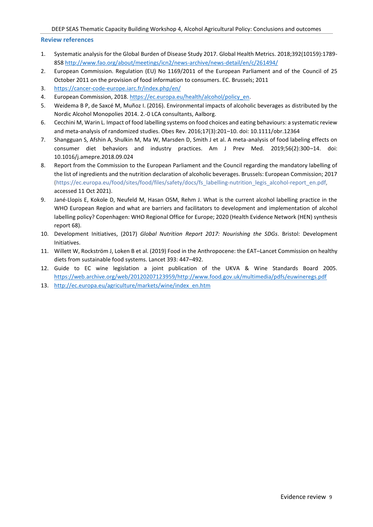#### **Review references**

- 1. Systematic analysis for the Global Burden of Disease Study 2017. Global Health Metrics. 2018;392(10159):1789- 858 <http://www.fao.org/about/meetings/icn2/news-archive/news-detail/en/c/261494/>
- 2. European Commission. Regulation (EU) No 1169/2011 of the European Parliament and of the Council of 25 October 2011 on the provision of food information to consumers. EC. Brussels; 2011
- 3. <https://cancer-code-europe.iarc.fr/index.php/en/>
- 4. European Commission, 2018. https://ec.europa.eu/health/alcohol/policy\_en.
- 5. Weidema B P, de Saxcé M, Muñoz I. (2016). Environmental impacts of alcoholic beverages as distributed by the Nordic Alcohol Monopolies 2014. 2.-0 LCA consultants, Aalborg.
- 6. Cecchini M, Warin L. Impact of food labelling systems on food choices and eating behaviours: a systematic review and meta-analysis of randomized studies. Obes Rev. 2016;17(3):201–10. doi: 10.1111/obr.12364
- 7. Shangguan S, Afshin A, Shulkin M, Ma W, Marsden D, Smith J et al. A meta-analysis of food labeling effects on consumer diet behaviors and industry practices. Am J Prev Med. 2019;56(2):300–14. doi: 10.1016/j.amepre.2018.09.024
- 8. Report from the Commission to the European Parliament and the Council regarding the mandatory labelling of the list of ingredients and the nutrition declaration of alcoholic beverages. Brussels: European Commission; 2017 (https://ec.europa.eu/food/sites/food/files/safety/docs/fs\_labelling-nutrition\_legis\_alcohol-report\_en.pdf, accessed 11 Oct 2021).
- 9. Jané-Llopis E, Kokole D, Neufeld M, Hasan OSM, Rehm J. What is the current alcohol labelling practice in the WHO European Region and what are barriers and facilitators to development and implementation of alcohol labelling policy? Copenhagen: WHO Regional Office for Europe; 2020 (Health Evidence Network (HEN) synthesis report 68).
- 10. Development Initiatives, (2017) *Global Nutrition Report 2017: Nourishing the SDGs*. Bristol: Development Initiatives.
- 11. Willett W, Rockström J, Loken B et al. (2019) Food in the Anthropocene: the EAT–Lancet Commission on healthy diets from sustainable food systems. Lancet 393: 447–492.
- 12. Guide to EC wine legislation a joint publication of the UKVA & Wine Standards Board 2005. [https://web.archive.org/web/20120207123959/http://www.food.gov.uk/multimedia/pdfs/euwineregs.pdf](https://web.archive.org/web/20120207123959/http:/www.food.gov.uk/multimedia/pdfs/euwineregs.pdf)
- 13. [http://ec.europa.eu/agriculture/markets/wine/index\\_en.htm](http://ec.europa.eu/agriculture/markets/wine/index_en.htm)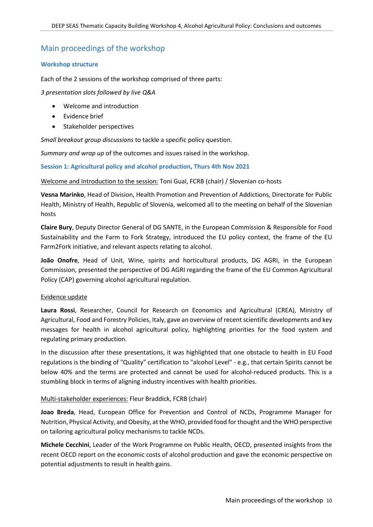## <span id="page-9-0"></span>Main proceedings of the workshop

#### **Workshop structure**

Each of the 2 sessions of the workshop comprised of three parts:

*3 presentation slots followed by live Q&A*

- Welcome and introduction
- Evidence brief
- Stakeholder perspectives

*Small breakout group discussions* to tackle a specific policy question.

*Summary and wrap up* of the outcomes and issues raised in the workshop.

**Session 1: Agricultural policy and alcohol production, Thurs 4th Nov 2021**

#### Welcome and Introduction to the session: Toni Gual, FCRB (chair) / Slovenian co-hosts

**Vesna Marinko**, Head of Division, Health Promotion and Prevention of Addictions, Directorate for Public Health, Ministry of Health, Republic of Slovenia, welcomed all to the meeting on behalf of the Slovenian hosts

**Claire Bury**, Deputy Director General of DG SANTE, in the European Commission & Responsible for Food Sustainability and the Farm to Fork Strategy, introduced the EU policy context, the frame of the EU Farm2Fork initiative, and relevant aspects relating to alcohol.

**João Onofre**, Head of Unit, Wine, spirits and horticultural products, DG AGRI, in the European Commission, presented the perspective of DG AGRI regarding the frame of the EU Common Agricultural Policy (CAP) governing alcohol agricultural regulation.

#### Evidence update

**Laura Rossi**, Researcher, Council for Research on Economics and Agricultural (CREA), Ministry of Agricultural, Food and Forestry Policies, Italy, gave an overview of recent scientific developments and key messages for health in alcohol agricultural policy, highlighting priorities for the food system and regulating primary production.

In the discussion after these presentations, it was highlighted that one obstacle to health in EU Food regulations is the binding of "Quality" certification to "alcohol Level" - e.g., that certain Spirits cannot be below 40% and the terms are protected and cannot be used for alcohol-reduced products. This is a stumbling block in terms of aligning industry incentives with health priorities.

#### Multi-stakeholder experiences: Fleur Braddick, FCRB (chair)

**Joao Breda**, Head, European Office for Prevention and Control of NCDs, Programme Manager for Nutrition, Physical Activity, and Obesity, at the WHO, provided food for thought and the WHO perspective on tailoring agricultural policy mechanisms to tackle NCDs.

**Michele Cecchini**, Leader of the Work Programme on Public Health, OECD, presented insights from the recent OECD report on the economic costs of alcohol production and gave the economic perspective on potential adjustments to result in health gains.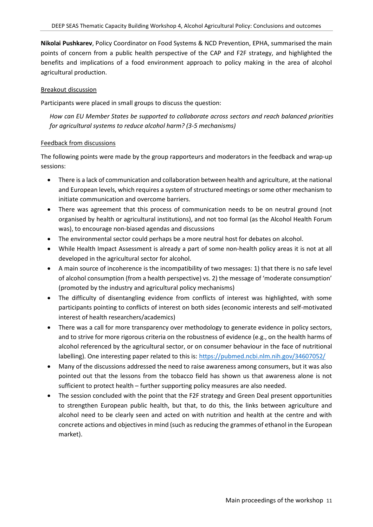**Nikolai Pushkarev**, Policy Coordinator on Food Systems & NCD Prevention, EPHA, summarised the main points of concern from a public health perspective of the CAP and F2F strategy, and highlighted the benefits and implications of a food environment approach to policy making in the area of alcohol agricultural production.

#### Breakout discussion

Participants were placed in small groups to discuss the question:

*How can EU Member States be supported to collaborate across sectors and reach balanced priorities for agricultural systems to reduce alcohol harm? (3-5 mechanisms)* 

#### Feedback from discussions

The following points were made by the group rapporteurs and moderators in the feedback and wrap-up sessions:

- There is a lack of communication and collaboration between health and agriculture, at the national and European levels, which requires a system of structured meetings or some other mechanism to initiate communication and overcome barriers.
- There was agreement that this process of communication needs to be on neutral ground (not organised by health or agricultural institutions), and not too formal (as the Alcohol Health Forum was), to encourage non-biased agendas and discussions
- The environmental sector could perhaps be a more neutral host for debates on alcohol.
- While Health Impact Assessment is already a part of some non-health policy areas it is not at all developed in the agricultural sector for alcohol.
- A main source of incoherence is the incompatibility of two messages: 1) that there is no safe level of alcohol consumption (from a health perspective) vs. 2) the message of 'moderate consumption' (promoted by the industry and agricultural policy mechanisms)
- The difficulty of disentangling evidence from conflicts of interest was highlighted, with some participants pointing to conflicts of interest on both sides (economic interests and self-motivated interest of health researchers/academics)
- There was a call for more transparency over methodology to generate evidence in policy sectors, and to strive for more rigorous criteria on the robustness of evidence (e.g., on the health harms of alcohol referenced by the agricultural sector, or on consumer behaviour in the face of nutritional labelling). One interesting paper related to this is[: https://pubmed.ncbi.nlm.nih.gov/34607052/](https://pubmed.ncbi.nlm.nih.gov/34607052/)
- Many of the discussions addressed the need to raise awareness among consumers, but it was also pointed out that the lessons from the tobacco field has shown us that awareness alone is not sufficient to protect health – further supporting policy measures are also needed.
- The session concluded with the point that the F2F strategy and Green Deal present opportunities to strengthen European public health, but that, to do this, the links between agriculture and alcohol need to be clearly seen and acted on with nutrition and health at the centre and with concrete actions and objectives in mind (such as reducing the grammes of ethanol in the European market).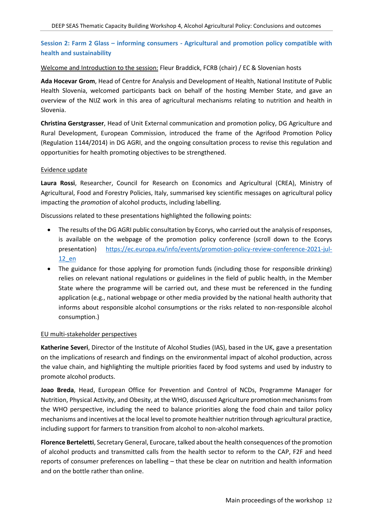## **Session 2: Farm 2 Glass – informing consumers - Agricultural and promotion policy compatible with health and sustainability**

#### Welcome and Introduction to the session: Fleur Braddick, FCRB (chair) / EC & Slovenian hosts

**Ada Hocevar Grom**, Head of Centre for Analysis and Development of Health, National Institute of Public Health Slovenia, welcomed participants back on behalf of the hosting Member State, and gave an overview of the NIJZ work in this area of agricultural mechanisms relating to nutrition and health in Slovenia.

**Christina Gerstgrasser**, Head of Unit External communication and promotion policy, DG Agriculture and Rural Development, European Commission, introduced the frame of the Agrifood Promotion Policy (Regulation 1144/2014) in DG AGRI, and the ongoing consultation process to revise this regulation and opportunities for health promoting objectives to be strengthened.

#### Evidence update

**Laura Rossi**, Researcher, Council for Research on Economics and Agricultural (CREA), Ministry of Agricultural, Food and Forestry Policies, Italy, summarised key scientific messages on agricultural policy impacting the *promotion* of alcohol products, including labelling.

Discussions related to these presentations highlighted the following points:

- The results of the DG AGRI public consultation by Ecorys, who carried out the analysis of responses, is available on the webpage of the promotion policy conference (scroll down to the Ecorys presentation) [https://ec.europa.eu/info/events/promotion-policy-review-conference-2021-jul-](https://ec.europa.eu/info/events/promotion-policy-review-conference-2021-jul-12_en)[12\\_en](https://ec.europa.eu/info/events/promotion-policy-review-conference-2021-jul-12_en)
- The guidance for those applying for promotion funds (including those for responsible drinking) relies on relevant national regulations or guidelines in the field of public health, in the Member State where the programme will be carried out, and these must be referenced in the funding application (e.g., national webpage or other media provided by the national health authority that informs about responsible alcohol consumptions or the risks related to non-responsible alcohol consumption.)

#### EU multi-stakeholder perspectives

**Katherine Severi**, Director of the Institute of Alcohol Studies (IAS), based in the UK, gave a presentation on the implications of research and findings on the environmental impact of alcohol production, across the value chain, and highlighting the multiple priorities faced by food systems and used by industry to promote alcohol products.

**Joao Breda**, Head, European Office for Prevention and Control of NCDs, Programme Manager for Nutrition, Physical Activity, and Obesity, at the WHO, discussed Agriculture promotion mechanisms from the WHO perspective, including the need to balance priorities along the food chain and tailor policy mechanisms and incentives at the local level to promote healthier nutrition through agricultural practice, including support for farmers to transition from alcohol to non-alcohol markets.

**Florence Berteletti**, Secretary General, Eurocare, talked about the health consequences of the promotion of alcohol products and transmitted calls from the health sector to reform to the CAP, F2F and heed reports of consumer preferences on labelling – that these be clear on nutrition and health information and on the bottle rather than online.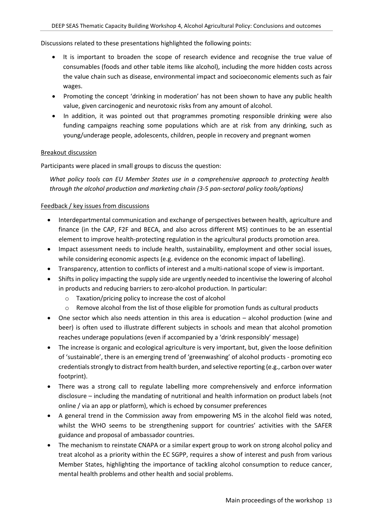#### Discussions related to these presentations highlighted the following points:

- It is important to broaden the scope of research evidence and recognise the true value of consumables (foods and other table items like alcohol), including the more hidden costs across the value chain such as disease, environmental impact and socioeconomic elements such as fair wages.
- Promoting the concept 'drinking in moderation' has not been shown to have any public health value, given carcinogenic and neurotoxic risks from any amount of alcohol.
- In addition, it was pointed out that programmes promoting responsible drinking were also funding campaigns reaching some populations which are at risk from any drinking, such as young/underage people, adolescents, children, people in recovery and pregnant women

#### Breakout discussion

Participants were placed in small groups to discuss the question:

*What policy tools can EU Member States use in a comprehensive approach to protecting health through the alcohol production and marketing chain (3-5 pan-sectoral policy tools/options)*

#### Feedback / key issues from discussions

- Interdepartmental communication and exchange of perspectives between health, agriculture and finance (in the CAP, F2F and BECA, and also across different MS) continues to be an essential element to improve health-protecting regulation in the agricultural products promotion area.
- Impact assessment needs to include health, sustainability, employment and other social issues, while considering economic aspects (e.g. evidence on the economic impact of labelling).
- Transparency, attention to conflicts of interest and a multi-national scope of view is important.
- Shifts in policy impacting the supply side are urgently needed to incentivise the lowering of alcohol in products and reducing barriers to zero-alcohol production. In particular:
	- o Taxation/pricing policy to increase the cost of alcohol
	- $\circ$  Remove alcohol from the list of those eligible for promotion funds as cultural products
- One sector which also needs attention in this area is education alcohol production (wine and beer) is often used to illustrate different subjects in schools and mean that alcohol promotion reaches underage populations (even if accompanied by a 'drink responsibly' message)
- The increase is organic and ecological agriculture is very important, but, given the loose definition of 'sustainable', there is an emerging trend of 'greenwashing' of alcohol products - promoting eco credentials strongly to distract from health burden, and selective reporting (e.g., carbon over water footprint).
- There was a strong call to regulate labelling more comprehensively and enforce information disclosure – including the mandating of nutritional and health information on product labels (not online / via an app or platform), which is echoed by consumer preferences
- A general trend in the Commission away from empowering MS in the alcohol field was noted, whilst the WHO seems to be strengthening support for countries' activities with the SAFER guidance and proposal of ambassador countries.
- The mechanism to reinstate CNAPA or a similar expert group to work on strong alcohol policy and treat alcohol as a priority within the EC SGPP, requires a show of interest and push from various Member States, highlighting the importance of tackling alcohol consumption to reduce cancer, mental health problems and other health and social problems.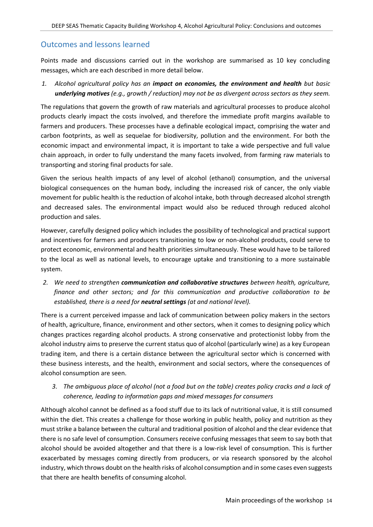## Outcomes and lessons learned

Points made and discussions carried out in the workshop are summarised as 10 key concluding messages, which are each described in more detail below.

*1. Alcohol agricultural policy has an impact on economies, the environment and health but basic underlying motives (e.g., growth / reduction) may not be as divergent across sectors as they seem.*

The regulations that govern the growth of raw materials and agricultural processes to produce alcohol products clearly impact the costs involved, and therefore the immediate profit margins available to farmers and producers. These processes have a definable ecological impact, comprising the water and carbon footprints, as well as sequelae for biodiversity, pollution and the environment. For both the economic impact and environmental impact, it is important to take a wide perspective and full value chain approach, in order to fully understand the many facets involved, from farming raw materials to transporting and storing final products for sale.

Given the serious health impacts of any level of alcohol (ethanol) consumption, and the universal biological consequences on the human body, including the increased risk of cancer, the only viable movement for public health is the reduction of alcohol intake, both through decreased alcohol strength and decreased sales. The environmental impact would also be reduced through reduced alcohol production and sales.

However, carefully designed policy which includes the possibility of technological and practical support and incentives for farmers and producers transitioning to low or non-alcohol products, could serve to protect economic, environmental and health priorities simultaneously. These would have to be tailored to the local as well as national levels, to encourage uptake and transitioning to a more sustainable system.

*2. We need to strengthen communication and collaborative structures between health, agriculture, finance and other sectors; and for this communication and productive collaboration to be established, there is a need for neutral settings (at and national level).*

There is a current perceived impasse and lack of communication between policy makers in the sectors of health, agriculture, finance, environment and other sectors, when it comes to designing policy which changes practices regarding alcohol products. A strong conservative and protectionist lobby from the alcohol industry aims to preserve the current status quo of alcohol (particularly wine) as a key European trading item, and there is a certain distance between the agricultural sector which is concerned with these business interests, and the health, environment and social sectors, where the consequences of alcohol consumption are seen.

*3. The ambiguous place of alcohol (not a food but on the table) creates policy cracks and a lack of coherence, leading to information gaps and mixed messages for consumers* 

Although alcohol cannot be defined as a food stuff due to its lack of nutritional value, it is still consumed within the diet. This creates a challenge for those working in public health, policy and nutrition as they must strike a balance between the cultural and traditional position of alcohol and the clear evidence that there is no safe level of consumption. Consumers receive confusing messages that seem to say both that alcohol should be avoided altogether and that there is a low-risk level of consumption. This is further exacerbated by messages coming directly from producers, or via research sponsored by the alcohol industry, which throws doubt on the health risks of alcohol consumption and in some cases even suggests that there are health benefits of consuming alcohol.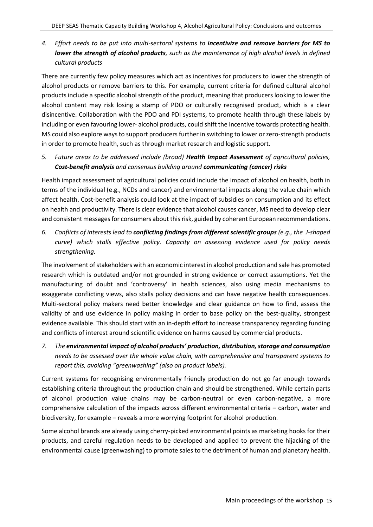*4. Effort needs to be put into multi-sectoral systems to incentivize and remove barriers for MS to lower the strength of alcohol products, such as the maintenance of high alcohol levels in defined cultural products*

There are currently few policy measures which act as incentives for producers to lower the strength of alcohol products or remove barriers to this. For example, current criteria for defined cultural alcohol products include a specific alcohol strength of the product, meaning that producers looking to lower the alcohol content may risk losing a stamp of PDO or culturally recognised product, which is a clear disincentive. Collaboration with the PDO and PDI systems, to promote health through these labels by including or even favouring lower- alcohol products, could shift the incentive towards protecting health. MS could also explore ways to support producers further in switching to lower or zero-strength products in order to promote health, such as through market research and logistic support.

*5. Future areas to be addressed include (broad) Health Impact Assessment of agricultural policies, Cost-benefit analysis and consensus building around communicating (cancer) risks* 

Health impact assessment of agricultural policies could include the impact of alcohol on health, both in terms of the individual (e.g., NCDs and cancer) and environmental impacts along the value chain which affect health. Cost-benefit analysis could look at the impact of subsidies on consumption and its effect on health and productivity. There is clear evidence that alcohol causes cancer, MS need to develop clear and consistent messages for consumers about this risk, guided by coherent European recommendations.

*6. Conflicts of interests lead to conflicting findings from different scientific groups (e.g., the J-shaped curve) which stalls effective policy. Capacity on assessing evidence used for policy needs strengthening.*

The involvement of stakeholders with an economic interest in alcohol production and sale has promoted research which is outdated and/or not grounded in strong evidence or correct assumptions. Yet the manufacturing of doubt and 'controversy' in health sciences, also using media mechanisms to exaggerate conflicting views, also stalls policy decisions and can have negative health consequences. Multi-sectoral policy makers need better knowledge and clear guidance on how to find, assess the validity of and use evidence in policy making in order to base policy on the best-quality, strongest evidence available. This should start with an in-depth effort to increase transparency regarding funding and conflicts of interest around scientific evidence on harms caused by commercial products.

*7. The environmental impact of alcohol products' production, distribution, storage and consumption needs to be assessed over the whole value chain, with comprehensive and transparent systems to report this, avoiding "greenwashing" (also on product labels).*

Current systems for recognising environmentally friendly production do not go far enough towards establishing criteria throughout the production chain and should be strengthened. While certain parts of alcohol production value chains may be carbon-neutral or even carbon-negative, a more comprehensive calculation of the impacts across different environmental criteria – carbon, water and biodiversity, for example – reveals a more worrying footprint for alcohol production.

Some alcohol brands are already using cherry-picked environmental points as marketing hooks for their products, and careful regulation needs to be developed and applied to prevent the hijacking of the environmental cause (greenwashing) to promote sales to the detriment of human and planetary health.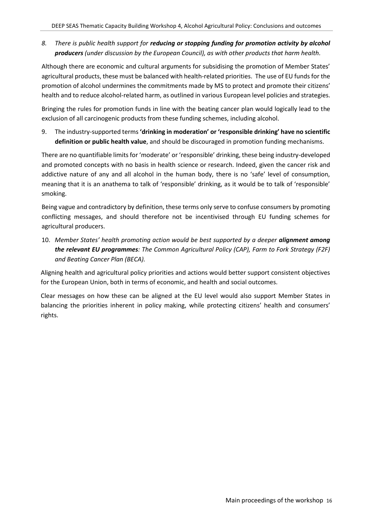*8. There is public health support for reducing or stopping funding for promotion activity by alcohol producers (under discussion by the European Council), as with other products that harm health.*

Although there are economic and cultural arguments for subsidising the promotion of Member States' agricultural products, these must be balanced with health-related priorities. The use of EU funds for the promotion of alcohol undermines the commitments made by MS to protect and promote their citizens' health and to reduce alcohol-related harm, as outlined in various European level policies and strategies.

Bringing the rules for promotion funds in line with the beating cancer plan would logically lead to the exclusion of all carcinogenic products from these funding schemes, including alcohol.

9. The industry-supported terms **'drinking in moderation' or 'responsible drinking' have no scientific definition or public health value**, and should be discouraged in promotion funding mechanisms.

There are no quantifiable limits for 'moderate' or 'responsible' drinking, these being industry-developed and promoted concepts with no basis in health science or research. Indeed, given the cancer risk and addictive nature of any and all alcohol in the human body, there is no 'safe' level of consumption, meaning that it is an anathema to talk of 'responsible' drinking, as it would be to talk of 'responsible' smoking.

Being vague and contradictory by definition, these terms only serve to confuse consumers by promoting conflicting messages, and should therefore not be incentivised through EU funding schemes for agricultural producers.

10. *Member States' health promoting action would be best supported by a deeper alignment among the relevant EU programmes: The Common Agricultural Policy (CAP), Farm to Fork Strategy (F2F) and Beating Cancer Plan (BECA).*

Aligning health and agricultural policy priorities and actions would better support consistent objectives for the European Union, both in terms of economic, and health and social outcomes.

Clear messages on how these can be aligned at the EU level would also support Member States in balancing the priorities inherent in policy making, while protecting citizens' health and consumers' rights.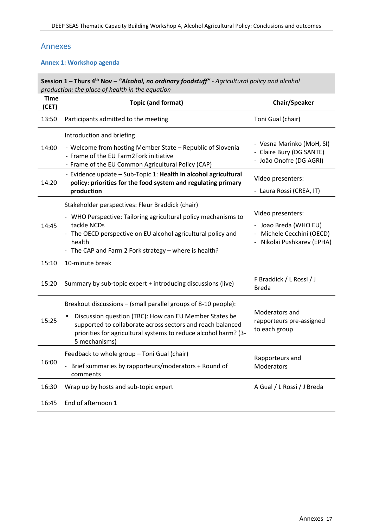## <span id="page-16-0"></span>Annexes

#### **Annex 1: Workshop agenda**

|                      | Session 1 - Thurs 4 <sup>th</sup> Nov - "Alcohol, no ordinary foodstuff" - Agricultural policy and alcohol<br>production: the place of health in the equation                                                                                                              |                                                                                                       |
|----------------------|----------------------------------------------------------------------------------------------------------------------------------------------------------------------------------------------------------------------------------------------------------------------------|-------------------------------------------------------------------------------------------------------|
| <b>Time</b><br>(CET) | <b>Topic (and format)</b>                                                                                                                                                                                                                                                  | Chair/Speaker                                                                                         |
| 13:50                | Participants admitted to the meeting                                                                                                                                                                                                                                       | Toni Gual (chair)                                                                                     |
| 14:00                | Introduction and briefing<br>- Welcome from hosting Member State - Republic of Slovenia<br>- Frame of the EU Farm2Fork initiative<br>- Frame of the EU Common Agricultural Policy (CAP)                                                                                    | - Vesna Marinko (MoH, SI)<br>- Claire Bury (DG SANTE)<br>- João Onofre (DG AGRI)                      |
| 14:20                | - Evidence update - Sub-Topic 1: Health in alcohol agricultural<br>policy: priorities for the food system and regulating primary<br>production                                                                                                                             | Video presenters:<br>- Laura Rossi (CREA, IT)                                                         |
| 14:45                | Stakeholder perspectives: Fleur Braddick (chair)<br>- WHO Perspective: Tailoring agricultural policy mechanisms to<br>tackle NCDs<br>- The OECD perspective on EU alcohol agricultural policy and<br>health<br>- The CAP and Farm 2 Fork strategy - where is health?       | Video presenters:<br>- Joao Breda (WHO EU)<br>- Michele Cecchini (OECD)<br>- Nikolai Pushkarev (EPHA) |
| 15:10                | 10-minute break                                                                                                                                                                                                                                                            |                                                                                                       |
| 15:20                | Summary by sub-topic expert + introducing discussions (live)                                                                                                                                                                                                               | F Braddick / L Rossi / J<br><b>Breda</b>                                                              |
| 15:25                | Breakout discussions – (small parallel groups of 8-10 people):<br>Discussion question (TBC): How can EU Member States be<br>supported to collaborate across sectors and reach balanced<br>priorities for agricultural systems to reduce alcohol harm? (3-<br>5 mechanisms) | Moderators and<br>rapporteurs pre-assigned<br>to each group                                           |
| 16:00                | Feedback to whole group - Toni Gual (chair)<br>Brief summaries by rapporteurs/moderators + Round of<br>comments                                                                                                                                                            | Rapporteurs and<br>Moderators                                                                         |
| 16:30                | Wrap up by hosts and sub-topic expert                                                                                                                                                                                                                                      | A Gual / L Rossi / J Breda                                                                            |
| 16:45                | End of afternoon 1                                                                                                                                                                                                                                                         |                                                                                                       |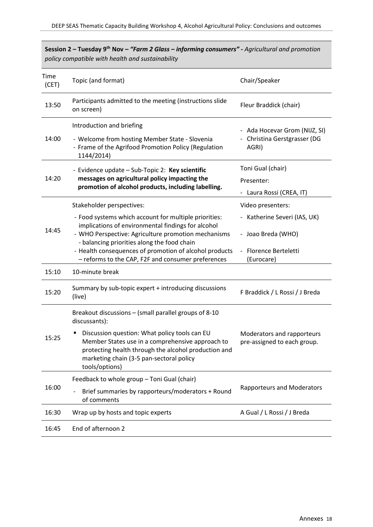|               | policy compatible with nealth and sustainability                                                                                                                                                                        |                                                           |
|---------------|-------------------------------------------------------------------------------------------------------------------------------------------------------------------------------------------------------------------------|-----------------------------------------------------------|
| Time<br>(CET) | Topic (and format)                                                                                                                                                                                                      | Chair/Speaker                                             |
| 13:50         | Participants admitted to the meeting (instructions slide<br>on screen)                                                                                                                                                  | Fleur Braddick (chair)                                    |
|               | Introduction and briefing                                                                                                                                                                                               | - Ada Hocevar Grom (NIJZ, SI)                             |
| 14:00         | - Welcome from hosting Member State - Slovenia<br>- Frame of the Agrifood Promotion Policy (Regulation<br>1144/2014)                                                                                                    | - Christina Gerstgrasser (DG<br>AGRI)                     |
|               | - Evidence update - Sub-Topic 2: Key scientific                                                                                                                                                                         | Toni Gual (chair)                                         |
| 14:20         | messages on agricultural policy impacting the                                                                                                                                                                           | Presenter:                                                |
|               | promotion of alcohol products, including labelling.                                                                                                                                                                     | - Laura Rossi (CREA, IT)                                  |
|               | Stakeholder perspectives:                                                                                                                                                                                               | Video presenters:                                         |
| 14:45         | - Food systems which account for multiple priorities:<br>implications of environmental findings for alcohol<br>- WHO Perspective: Agriculture promotion mechanisms                                                      | Katherine Severi (IAS, UK)<br>- Joao Breda (WHO)          |
|               | - balancing priorities along the food chain<br>- Health consequences of promotion of alcohol products<br>- reforms to the CAP, F2F and consumer preferences                                                             | <b>Florence Berteletti</b><br>(Eurocare)                  |
| 15:10         | 10-minute break                                                                                                                                                                                                         |                                                           |
| 15:20         | Summary by sub-topic expert + introducing discussions<br>(live)                                                                                                                                                         | F Braddick / L Rossi / J Breda                            |
|               | Breakout discussions – (small parallel groups of 8-10<br>discussants):                                                                                                                                                  |                                                           |
| 15:25         | Discussion question: What policy tools can EU<br>Member States use in a comprehensive approach to<br>protecting health through the alcohol production and<br>marketing chain (3-5 pan-sectoral policy<br>tools/options) | Moderators and rapporteurs<br>pre-assigned to each group. |
|               | Feedback to whole group - Toni Gual (chair)                                                                                                                                                                             |                                                           |
| 16:00         | Brief summaries by rapporteurs/moderators + Round<br>of comments                                                                                                                                                        | <b>Rapporteurs and Moderators</b>                         |
| 16:30         | Wrap up by hosts and topic experts                                                                                                                                                                                      | A Gual / L Rossi / J Breda                                |
| 16:45         | End of afternoon 2                                                                                                                                                                                                      |                                                           |

**Session 2 – Tuesday 9th Nov –** *"Farm 2 Glass – informing consumers" - Agricultural and promotion policy compatible with health and sustainability*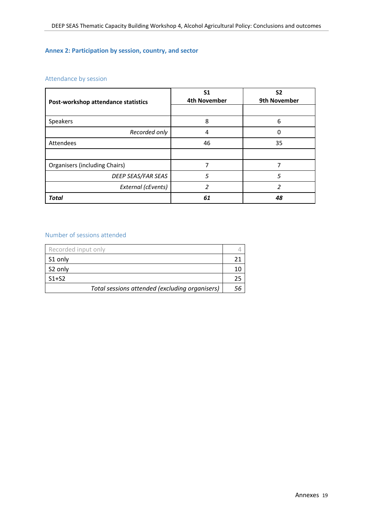## **Annex 2: Participation by session, country, and sector**

## Attendance by session

| Post-workshop attendance statistics | S <sub>1</sub><br><b>4th November</b> | S <sub>2</sub><br>9th November |
|-------------------------------------|---------------------------------------|--------------------------------|
|                                     |                                       |                                |
| Speakers                            | 8                                     | 6                              |
| Recorded only                       | 4                                     | Ω                              |
| Attendees                           | 46                                    | 35                             |
|                                     |                                       |                                |
| Organisers (including Chairs)       | 7                                     | ⇁                              |
| DEEP SEAS/FAR SEAS                  | 5                                     | 5                              |
| External (cEvents)                  | 2                                     | 2                              |
| <b>Total</b>                        | 61                                    | 48                             |

#### Number of sessions attended

| Recorded input only                            |  |
|------------------------------------------------|--|
| S1 only                                        |  |
| S2 only                                        |  |
| $S1+S2$                                        |  |
| Total sessions attended (excluding organisers) |  |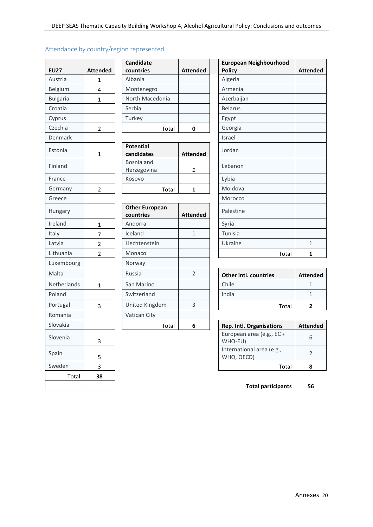| <b>EU27</b>     | <b>Attended</b> | Candidate<br>countries             | <b>Attended</b> | Europea<br><b>Policy</b> |
|-----------------|-----------------|------------------------------------|-----------------|--------------------------|
| Austria         | 1               | Albania                            |                 | Algeria                  |
| Belgium         | 4               | Montenegro                         |                 | Armenia                  |
| <b>Bulgaria</b> | 1               | North Macedonia                    |                 | Azerbaija                |
| Croatia         |                 | Serbia                             |                 | <b>Belarus</b>           |
| Cyprus          |                 | Turkey                             |                 | Egypt                    |
| Czechia         | $\overline{2}$  | Total                              | 0               | Georgia                  |
| Denmark         |                 |                                    |                 | Israel                   |
| Estonia         | $\mathbf{1}$    | <b>Potential</b><br>candidates     | <b>Attended</b> | Jordan                   |
| Finland         |                 | Bosnia and<br>Herzegovina          | 1               | Lebanon                  |
| France          |                 | Kosovo                             |                 | Lybia                    |
| Germany         | $\overline{2}$  | Total                              | 1               | Moldova                  |
| Greece          |                 |                                    |                 | Morocco                  |
| Hungary         |                 | <b>Other European</b><br>countries | <b>Attended</b> | Palestine                |
| Ireland         | $\mathbf{1}$    | Andorra                            |                 | Syria                    |
| Italy           | 7               | Iceland                            | $\mathbf{1}$    | Tunisia                  |
| Latvia          | $\overline{2}$  | Liechtenstein                      |                 | Ukraine                  |
| Lithuania       | $\overline{c}$  | Monaco                             |                 |                          |
| Luxembourg      |                 | Norway                             |                 |                          |
| Malta           |                 | Russia                             | $\overline{2}$  | Other in                 |
| Netherlands     | $\mathbf{1}$    | San Marino                         |                 | Chile                    |
| Poland          |                 | Switzerland                        |                 | India                    |
| Portugal        | 3               | United Kingdom                     | 3               |                          |
| Romania         |                 | Vatican City                       |                 |                          |
| Slovakia        |                 | Total                              | 6               | Rep. Intl.               |
| Slovenia        | 3               |                                    |                 | Europear<br>WHO-EU       |
| Spain           | 5               |                                    |                 | Internati<br>WHO, OI     |
| Sweden          | 3               |                                    |                 |                          |
| Total           | 38              |                                    |                 |                          |
|                 |                 |                                    |                 |                          |

| Attendance by country/region represented |  |  |  |  |  |
|------------------------------------------|--|--|--|--|--|
|------------------------------------------|--|--|--|--|--|

|                 |                 | <b>Candidate</b> |                 | European       |
|-----------------|-----------------|------------------|-----------------|----------------|
| <b>EU27</b>     | <b>Attended</b> | countries        | <b>Attended</b> | <b>Policy</b>  |
| Austria         |                 | Albania          |                 | Algeria        |
| Belgium         | 4               | Montenegro       |                 | Armenia        |
| <b>Bulgaria</b> |                 | North Macedonia  |                 | Azerbaijan     |
| Croatia         |                 | Serbia           |                 | <b>Belarus</b> |
| Cyprus          |                 | Turkey           |                 | Egypt          |
| Czechia         | $\mathfrak z$   | Total            | 0               | Georgia        |
|                 |                 |                  |                 |                |

| Estonia | <b>Potential</b> |                 | Jordan  |
|---------|------------------|-----------------|---------|
|         | candidates       | <b>Attended</b> |         |
| Finland | Bosnia and       |                 | Lebanon |
|         | Herzegovina      |                 |         |
| France  | Kosovo           |                 | Lybia   |
| Germany | Total            |                 | Moldova |
|         |                  |                 |         |

| Hungary     |               | <b>Other European</b><br>countries | <b>Attended</b> | Palestine  |
|-------------|---------------|------------------------------------|-----------------|------------|
| Ireland     | 1             | Andorra                            |                 | Syria      |
| Italy       | 7             | Iceland                            | $\mathbf{1}$    | Tunisia    |
| Latvia      | $\mathcal{P}$ | Liechtenstein                      |                 | Ukraine    |
| Lithuania   | $\mathcal{P}$ | Monaco                             |                 |            |
| Luxembourg  |               | Norway                             |                 |            |
| Malta       |               | Russia                             | $\overline{2}$  | Other int  |
| Netherlands | 1             | San Marino                         |                 | Chile      |
| Poland      |               | Switzerland                        |                 | India      |
| Portugal    | 3             | United Kingdom                     | 3               |            |
| Romania     |               | Vatican City                       |                 |            |
| Slovakia    |               |                                    | Total<br>6      | Rep. Intl. |

| <b>EU27</b>     | <b>Attended</b> | <b>Candidate</b><br>countries      | <b>Attended</b> |
|-----------------|-----------------|------------------------------------|-----------------|
| Austria         | 1               | Albania                            |                 |
| Belgium         | 4               | Montenegro                         |                 |
| <b>Bulgaria</b> | $\mathbf{1}$    | North Macedonia                    |                 |
| Croatia         |                 | Serbia                             |                 |
| Cyprus          |                 | Turkey                             |                 |
| Czechia         | $\overline{2}$  | Total                              | $\mathbf 0$     |
| Denmark         |                 |                                    |                 |
| Estonia         | 1               | <b>Potential</b><br>candidates     | <b>Attended</b> |
| Finland         |                 | Bosnia and<br>Herzegovina          | 1               |
| France          |                 | Kosovo                             |                 |
| Germany         | $\overline{2}$  | Total                              | $\mathbf{1}$    |
| Greece          |                 |                                    |                 |
| Hungary         |                 | <b>Other European</b><br>countries | <b>Attended</b> |
| Ireland         | $\mathbf{1}$    | Andorra                            |                 |
| Italy           | 7               | Iceland                            | $\mathbf{1}$    |
| Latvia          | $\overline{2}$  | Liechtenstein                      |                 |
| Lithuania       | $\overline{2}$  | Monaco                             |                 |
|                 |                 |                                    |                 |

| Malta       | Russia         |  | <b>Other intl. countries</b> | <b>Attended</b> |
|-------------|----------------|--|------------------------------|-----------------|
| Netherlands | San Marino     |  | Chile                        |                 |
| Poland      | Switzerland    |  | India                        |                 |
| Portugal    | United Kingdom |  | Total                        |                 |

| Slovakia |  | Total |  | <b>Rep. Intl. Organisations</b>         | <b>Attended</b> |
|----------|--|-------|--|-----------------------------------------|-----------------|
| Slovenia |  |       |  | European area (e.g., EC +<br>WHO-EU)    |                 |
| Spain    |  |       |  | International area (e.g.,<br>WHO, OECD) |                 |
| Sweden   |  |       |  | Total                                   |                 |

**Total participants 56**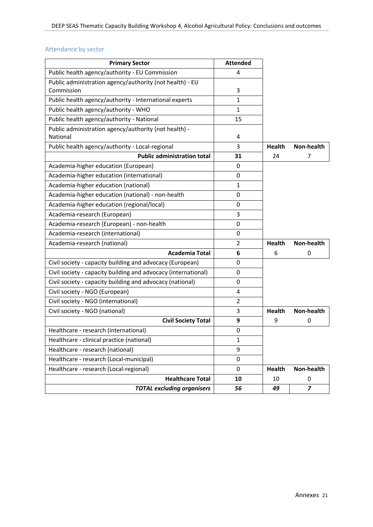## Attendance by sector

| <b>Primary Sector</b>                                             | <b>Attended</b> |               |                |
|-------------------------------------------------------------------|-----------------|---------------|----------------|
| Public health agency/authority - EU Commission                    | 4               |               |                |
| Public administration agency/authority (not health) - EU          |                 |               |                |
| Commission                                                        | 3               |               |                |
| Public health agency/authority - International experts            | 1               |               |                |
| Public health agency/authority - WHO                              | $\mathbf{1}$    |               |                |
| Public health agency/authority - National                         | 15              |               |                |
| Public administration agency/authority (not health) -<br>National | 4               |               |                |
| Public health agency/authority - Local-regional                   | 3               | <b>Health</b> | Non-health     |
| <b>Public administration total</b>                                | 31              | 24            | 7              |
| Academia-higher education (European)                              | 0               |               |                |
| Academia-higher education (international)                         | 0               |               |                |
| Academia-higher education (national)                              | $\mathbf{1}$    |               |                |
| Academia-higher education (national) - non-health                 | 0               |               |                |
| Academia-higher education (regional/local)                        | 0               |               |                |
| Academia-research (European)                                      | 3               |               |                |
| Academia-research (European) - non-health                         | 0               |               |                |
| Academia-research (international)                                 | 0               |               |                |
| Academia-research (national)                                      | $\overline{2}$  | <b>Health</b> | Non-health     |
| <b>Academia Total</b>                                             | 6               | 6             | 0              |
| Civil society - capacity building and advocacy (European)         | 0               |               |                |
| Civil society - capacity building and advocacy (international)    | 0               |               |                |
| Civil society - capacity building and advocacy (national)         | 0               |               |                |
| Civil society - NGO (European)                                    | 4               |               |                |
| Civil society - NGO (international)                               | $\overline{2}$  |               |                |
| Civil society - NGO (national)                                    | 3               | Health        | Non-health     |
| <b>Civil Society Total</b>                                        | 9               | 9             | 0              |
| Healthcare - research (international)                             | 0               |               |                |
| Healthcare - clinical practice (national)                         | 1               |               |                |
| Healthcare - research (national)                                  | 9               |               |                |
| Healthcare - research (Local-municipal)                           | $\mathsf 0$     |               |                |
| Healthcare - research (Local-regional)                            | 0               | <b>Health</b> | Non-health     |
| <b>Healthcare Total</b>                                           | 10              | 10            | 0              |
| <b>TOTAL excluding organisers</b>                                 | 56              | 49            | $\overline{z}$ |